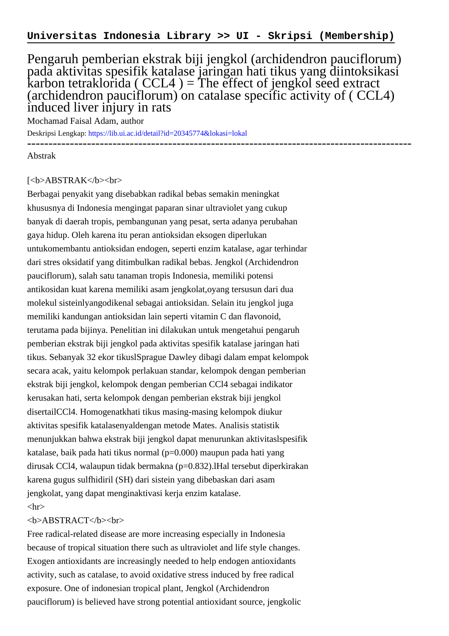## Pengaruh pemberian ekstrak biji jengkol (archidendron pauciflorum) pada aktivitas spesifik katalase jaringan hati tikus yang diintoksikasi karbon tetraklorida (  $CCL4$  ) = The effect of jengkol seed extract (archidendron pauciflorum) on catalase specific activity of ( CCL4) induced liver injury in rats

Mochamad Faisal Adam, author

Deskripsi Lengkap:<https://lib.ui.ac.id/detail?id=20345774&lokasi=lokal> ------------------------------------------------------------------------------------------

Abstrak

## [<b>ABSTRAK</b><br>

Berbagai penyakit yang disebabkan radikal bebas semakin meningkat khususnya di Indonesia mengingat paparan sinar ultraviolet yang cukup banyak di daerah tropis, pembangunan yang pesat, serta adanya perubahan gaya hidup. Oleh karena itu peran antioksidan eksogen diperlukan untukomembantu antioksidan endogen, seperti enzim katalase, agar terhindar dari stres oksidatif yang ditimbulkan radikal bebas. Jengkol (Archidendron pauciflorum), salah satu tanaman tropis Indonesia, memiliki potensi antikosidan kuat karena memiliki asam jengkolat,oyang tersusun dari dua molekul sisteinlyangodikenal sebagai antioksidan. Selain itu jengkol juga memiliki kandungan antioksidan lain seperti vitamin C dan flavonoid, terutama pada bijinya. Penelitian ini dilakukan untuk mengetahui pengaruh pemberian ekstrak biji jengkol pada aktivitas spesifik katalase jaringan hati tikus. Sebanyak 32 ekor tikuslSprague Dawley dibagi dalam empat kelompok secara acak, yaitu kelompok perlakuan standar, kelompok dengan pemberian ekstrak biji jengkol, kelompok dengan pemberian CCl4 sebagai indikator kerusakan hati, serta kelompok dengan pemberian ekstrak biji jengkol disertailCCl4. Homogenatkhati tikus masing-masing kelompok diukur aktivitas spesifik katalasenyaldengan metode Mates. Analisis statistik menunjukkan bahwa ekstrak biji jengkol dapat menurunkan aktivitaslspesifik katalase, baik pada hati tikus normal (p=0.000) maupun pada hati yang dirusak CCl4, walaupun tidak bermakna (p=0.832).lHal tersebut diperkirakan karena gugus sulfhidiril (SH) dari sistein yang dibebaskan dari asam jengkolat, yang dapat menginaktivasi kerja enzim katalase.  $\langle$ hr $>$ 

## <b>ABSTRACT</b><br>

Free radical-related disease are more increasing especially in Indonesia because of tropical situation there such as ultraviolet and life style changes. Exogen antioxidants are increasingly needed to help endogen antioxidants activity, such as catalase, to avoid oxidative stress induced by free radical exposure. One of indonesian tropical plant, Jengkol (Archidendron pauciflorum) is believed have strong potential antioxidant source, jengkolic